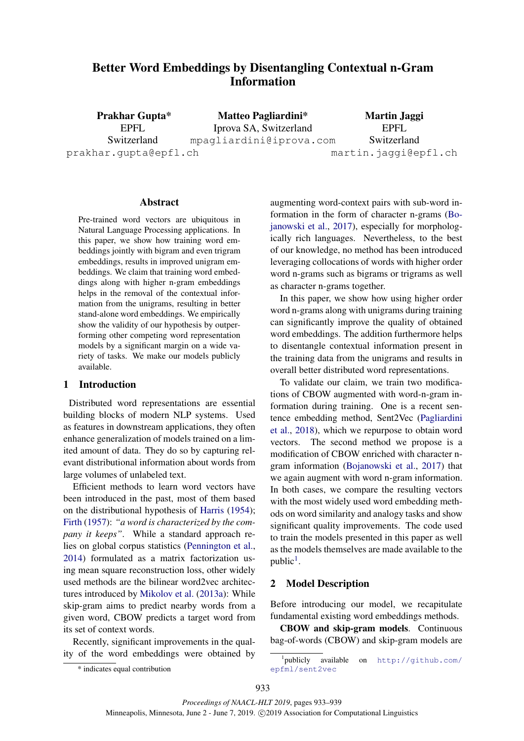# Better Word Embeddings by Disentangling Contextual n-Gram Information

Prakhar Gupta\* EPFL Switzerland prakhar.gupta@epfl.ch Matteo Pagliardini\* Iprova SA, Switzerland mpagliardini@iprova.com Martin Jaggi EPFL Switzerland martin.jaggi@epfl.ch

#### Abstract

Pre-trained word vectors are ubiquitous in Natural Language Processing applications. In this paper, we show how training word embeddings jointly with bigram and even trigram embeddings, results in improved unigram embeddings. We claim that training word embeddings along with higher n-gram embeddings helps in the removal of the contextual information from the unigrams, resulting in better stand-alone word embeddings. We empirically show the validity of our hypothesis by outperforming other competing word representation models by a significant margin on a wide variety of tasks. We make our models publicly available.

#### 1 Introduction

Distributed word representations are essential building blocks of modern NLP systems. Used as features in downstream applications, they often enhance generalization of models trained on a limited amount of data. They do so by capturing relevant distributional information about words from large volumes of unlabeled text.

Efficient methods to learn word vectors have been introduced in the past, most of them based on the distributional hypothesis of Harris (1954); Firth (1957): *"a word is characterized by the company it keeps"*. While a standard approach relies on global corpus statistics (Pennington et al., 2014) formulated as a matrix factorization using mean square reconstruction loss, other widely used methods are the bilinear word2vec architectures introduced by Mikolov et al. (2013a): While skip-gram aims to predict nearby words from a given word, CBOW predicts a target word from its set of context words.

Recently, significant improvements in the quality of the word embeddings were obtained by

augmenting word-context pairs with sub-word information in the form of character n-grams (Bojanowski et al., 2017), especially for morphologically rich languages. Nevertheless, to the best of our knowledge, no method has been introduced leveraging collocations of words with higher order word n-grams such as bigrams or trigrams as well as character n-grams together.

In this paper, we show how using higher order word n-grams along with unigrams during training can significantly improve the quality of obtained word embeddings. The addition furthermore helps to disentangle contextual information present in the training data from the unigrams and results in overall better distributed word representations.

To validate our claim, we train two modifications of CBOW augmented with word-n-gram information during training. One is a recent sentence embedding method, Sent2Vec (Pagliardini et al., 2018), which we repurpose to obtain word vectors. The second method we propose is a modification of CBOW enriched with character ngram information (Bojanowski et al., 2017) that we again augment with word n-gram information. In both cases, we compare the resulting vectors with the most widely used word embedding methods on word similarity and analogy tasks and show significant quality improvements. The code used to train the models presented in this paper as well as the models themselves are made available to the public<sup>1</sup>.

## 2 Model Description

Before introducing our model, we recapitulate fundamental existing word embeddings methods.

CBOW and skip-gram models. Continuous bag-of-words (CBOW) and skip-gram models are

<sup>\*</sup> indicates equal contribution

<sup>1</sup> publicly available on http://github.com/ epfml/sent2vec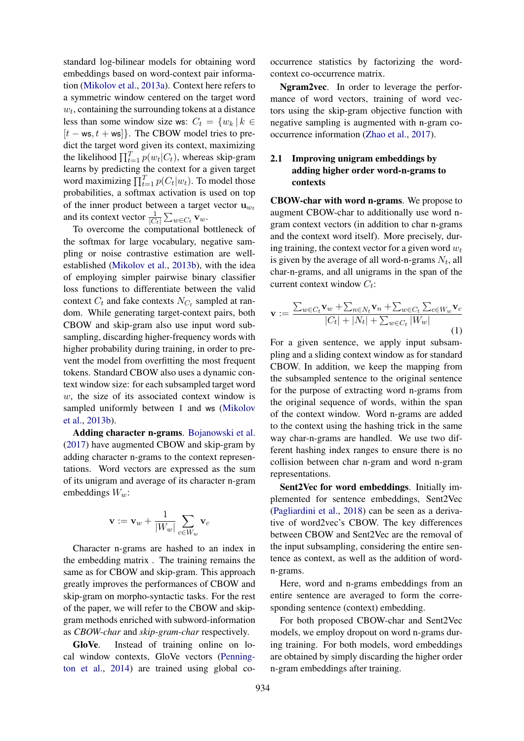standard log-bilinear models for obtaining word embeddings based on word-context pair information (Mikolov et al., 2013a). Context here refers to a symmetric window centered on the target word  $w_t$ , containing the surrounding tokens at a distance less than some window size ws:  $C_t = \{w_k | k \in$  $[t - \mathsf{ws}, t + \mathsf{ws}]\}.$  The CBOW model tries to predict the target word given its context, maximizing the likelihood  $\prod_{t=1}^{T} p(w_t|C_t)$ , whereas skip-gram learns by predicting the context for a given target word maximizing  $\prod_{t=1}^{T} p(C_t|w_t)$ . To model those probabilities, a softmax activation is used on top of the inner product between a target vector  $\mathbf{u}_{w_t}$ and its context vector  $\frac{1}{|C_t|} \sum_{w \in C_t} \mathbf{v}_w$ .

To overcome the computational bottleneck of the softmax for large vocabulary, negative sampling or noise contrastive estimation are wellestablished (Mikolov et al., 2013b), with the idea of employing simpler pairwise binary classifier loss functions to differentiate between the valid context  $C_t$  and fake contexts  $N_{C_t}$  sampled at random. While generating target-context pairs, both CBOW and skip-gram also use input word subsampling, discarding higher-frequency words with higher probability during training, in order to prevent the model from overfitting the most frequent tokens. Standard CBOW also uses a dynamic context window size: for each subsampled target word w, the size of its associated context window is sampled uniformly between 1 and ws (Mikolov et al., 2013b).

Adding character n-grams. Bojanowski et al. (2017) have augmented CBOW and skip-gram by adding character n-grams to the context representations. Word vectors are expressed as the sum of its unigram and average of its character n-gram embeddings  $W_w$ :

$$
\mathbf{v}:=\mathbf{v}_w+\frac{1}{|W_w|}\sum_{c\in W_w}\mathbf{v}_c
$$

Character n-grams are hashed to an index in the embedding matrix . The training remains the same as for CBOW and skip-gram. This approach greatly improves the performances of CBOW and skip-gram on morpho-syntactic tasks. For the rest of the paper, we will refer to the CBOW and skipgram methods enriched with subword-information as *CBOW-char* and *skip-gram-char* respectively.

GloVe. Instead of training online on local window contexts, GloVe vectors (Pennington et al., 2014) are trained using global co-

occurrence statistics by factorizing the wordcontext co-occurrence matrix.

Ngram2vec. In order to leverage the performance of word vectors, training of word vectors using the skip-gram objective function with negative sampling is augmented with n-gram cooccurrence information (Zhao et al., 2017).

## 2.1 Improving unigram embeddings by adding higher order word-n-grams to contexts

CBOW-char with word n-grams. We propose to augment CBOW-char to additionally use word ngram context vectors (in addition to char n-grams and the context word itself). More precisely, during training, the context vector for a given word  $w_t$ is given by the average of all word-n-grams  $N_t$ , all char-n-grams, and all unigrams in the span of the current context window  $C_t$ :

$$
\mathbf{v} := \frac{\sum_{w \in C_t} \mathbf{v}_w + \sum_{n \in N_t} \mathbf{v}_n + \sum_{w \in C_t} \sum_{c \in W_w} \mathbf{v}_c}{|C_t| + |N_t| + \sum_{w \in C_t} |W_w|}
$$
(1)

For a given sentence, we apply input subsampling and a sliding context window as for standard CBOW. In addition, we keep the mapping from the subsampled sentence to the original sentence for the purpose of extracting word n-grams from the original sequence of words, within the span of the context window. Word n-grams are added to the context using the hashing trick in the same way char-n-grams are handled. We use two different hashing index ranges to ensure there is no collision between char n-gram and word n-gram representations.

Sent2Vec for word embeddings. Initially implemented for sentence embeddings, Sent2Vec (Pagliardini et al., 2018) can be seen as a derivative of word2vec's CBOW. The key differences between CBOW and Sent2Vec are the removal of the input subsampling, considering the entire sentence as context, as well as the addition of wordn-grams.

Here, word and n-grams embeddings from an entire sentence are averaged to form the corresponding sentence (context) embedding.

For both proposed CBOW-char and Sent2Vec models, we employ dropout on word n-grams during training. For both models, word embeddings are obtained by simply discarding the higher order n-gram embeddings after training.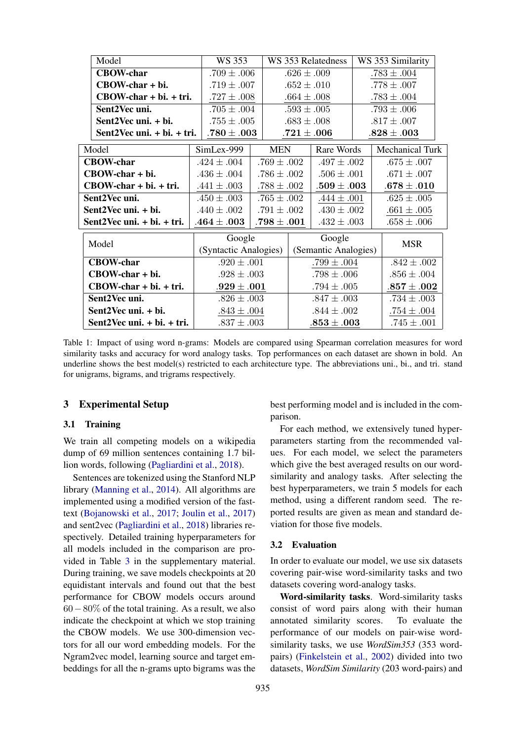|                  | Model                           | WS 353                |                 | WS 353 Relatedness   |                 |                | WS 353 Similarity |  |
|------------------|---------------------------------|-----------------------|-----------------|----------------------|-----------------|----------------|-------------------|--|
|                  | <b>CBOW-char</b>                | $.709 \pm .006$       |                 | $.626 \pm .009$      |                 |                | $.783 \pm .004$   |  |
|                  | CBOW-char + bi.                 | $.719 \pm .007$       |                 | $.652 \pm .010$      |                 |                | $.778 \pm .007$   |  |
|                  | $CBOW\text{-}char + bi. + tri.$ | $.727 \pm .008$       |                 | $.664 \pm .008$      |                 |                | $.783 \pm .004$   |  |
|                  | Sent2Vec uni.                   | $.705 \pm .004$       |                 | $.593 \pm .005$      |                 |                | $.793 \pm .006$   |  |
|                  | Sent2Vec uni. + bi.             | $.755 \pm .005$       |                 | $.683 \pm .008$      |                 |                | $.817 \pm .007$   |  |
|                  | Sent2Vec uni. + bi. + tri.      | $.780\pm.003$         |                 |                      | $.721\pm .006$  |                | $.828\pm.003$     |  |
| Model            |                                 | SimLex-999            | <b>MEN</b>      |                      | Rare Words      |                | Mechanical Turk   |  |
| <b>CBOW-char</b> |                                 | $.424 \pm .004$       | $.769 \pm .002$ |                      | $.497 \pm .002$ |                | $.675 \pm .007$   |  |
|                  | CBOW-char + bi.                 | $.436 \pm .004$       | $.786 \pm .002$ |                      | $.506 \pm .001$ |                | $.671 \pm .007$   |  |
|                  | $CBOW\text{-}char + bi. + tri.$ | $.441 \pm .003$       | $.788 \pm .002$ |                      | $.509\pm .003$  |                | $.678 \pm .010$   |  |
|                  | Sent2Vec uni.                   | $.450 \pm .003$       | $.765 \pm .002$ |                      | $.444 \pm .001$ |                | $.625 \pm .005$   |  |
|                  | Sent2Vec uni. + bi.             | $.440 \pm .002$       | $.791 \pm .002$ |                      | $.430 \pm .002$ |                | $.661 \pm .005$   |  |
|                  | Sent $2$ Vec uni. + bi. + tri.  | $.464\pm .003$        | $.798\pm.001$   |                      | $.432 \pm .003$ |                | $.658 \pm .006$   |  |
|                  |                                 | Google                |                 | Google               |                 |                |                   |  |
| Model            |                                 | (Syntactic Analogies) |                 | (Semantic Analogies) |                 |                | <b>MSR</b>        |  |
|                  | <b>CBOW-char</b>                | $.920 \pm .001$       |                 | $.799 \pm .004$      |                 |                | $.842 \pm .002$   |  |
|                  | CBOW-char + bi.                 |                       | $.928 \pm .003$ |                      | $.798 \pm .006$ |                | $.856 \pm .004$   |  |
|                  | $CBOW\text{-}char + bi. + tri.$ | $.929\pm .001$        |                 | $.794 \pm .005$      |                 | $.857\pm .002$ |                   |  |
|                  | Sent2Vec uni.                   | $.826 \pm .003$       |                 | $.847 \pm .003$      |                 |                | $.734 \pm .003$   |  |
|                  | Sent2Vec uni. + bi.             | $.843 \pm .004$       |                 | $.844 \pm .002$      |                 |                | $.754 \pm .004$   |  |
|                  | Sent2Vec uni. + bi. + tri.      | $.837 \pm .003$       |                 | $.853\pm.003$        |                 |                | $.745 \pm .001$   |  |

Table 1: Impact of using word n-grams: Models are compared using Spearman correlation measures for word similarity tasks and accuracy for word analogy tasks. Top performances on each dataset are shown in bold. An underline shows the best model(s) restricted to each architecture type. The abbreviations uni., bi., and tri. stand for unigrams, bigrams, and trigrams respectively.

### 3 Experimental Setup

#### 3.1 Training

We train all competing models on a wikipedia dump of 69 million sentences containing 1.7 billion words, following (Pagliardini et al., 2018).

Sentences are tokenized using the Stanford NLP library (Manning et al., 2014). All algorithms are implemented using a modified version of the fasttext (Bojanowski et al., 2017; Joulin et al., 2017) and sent2vec (Pagliardini et al., 2018) libraries respectively. Detailed training hyperparameters for all models included in the comparison are provided in Table 3 in the supplementary material. During training, we save models checkpoints at 20 equidistant intervals and found out that the best performance for CBOW models occurs around 60−80% of the total training. As a result, we also indicate the checkpoint at which we stop training the CBOW models. We use 300-dimension vectors for all our word embedding models. For the Ngram2vec model, learning source and target embeddings for all the n-grams upto bigrams was the best performing model and is included in the comparison.

For each method, we extensively tuned hyperparameters starting from the recommended values. For each model, we select the parameters which give the best averaged results on our wordsimilarity and analogy tasks. After selecting the best hyperparameters, we train 5 models for each method, using a different random seed. The reported results are given as mean and standard deviation for those five models.

## 3.2 Evaluation

In order to evaluate our model, we use six datasets covering pair-wise word-similarity tasks and two datasets covering word-analogy tasks.

Word-similarity tasks. Word-similarity tasks consist of word pairs along with their human annotated similarity scores. To evaluate the performance of our models on pair-wise wordsimilarity tasks, we use *WordSim353* (353 wordpairs) (Finkelstein et al., 2002) divided into two datasets, *WordSim Similarity* (203 word-pairs) and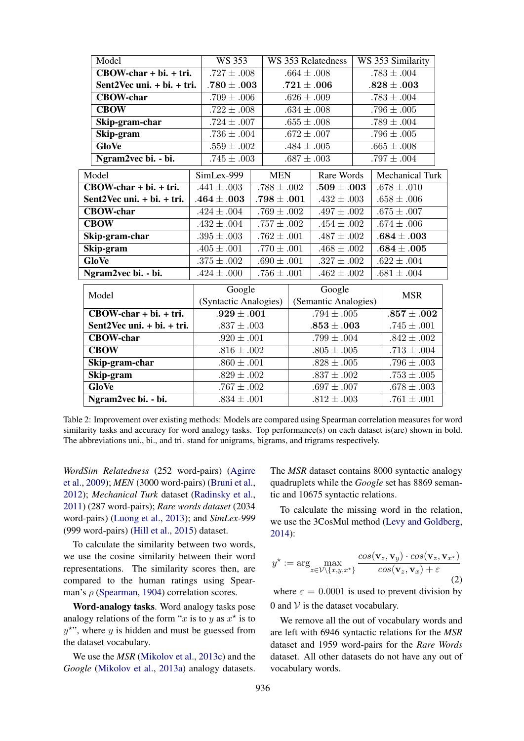|              | Model                      | <b>WS 353</b>                      |                            | WS 353 Relatedness |                      | WS 353 Similarity |                        |  |
|--------------|----------------------------|------------------------------------|----------------------------|--------------------|----------------------|-------------------|------------------------|--|
|              | $CBOW-char + bi. + tri.$   | $.727 \pm .008$                    |                            | $.664 \pm .008$    |                      | $.783 \pm .004$   |                        |  |
|              | Sent2Vec uni. + bi. + tri. | $.780\pm .003$                     |                            | $.721\pm .006$     |                      |                   | $.828\pm.003$          |  |
|              | <b>CBOW-char</b>           | $.709 \pm .006$                    |                            | $.626 \pm .009$    |                      | $.783 \pm .004$   |                        |  |
|              | <b>CBOW</b>                | $.722 \pm .008$                    |                            | $.634 \pm .008$    |                      |                   | $.796 \pm .005$        |  |
|              | Skip-gram-char             | $.724 \pm .007$                    |                            | $.655 \pm .008$    |                      |                   | $.789 \pm .004$        |  |
|              | Skip-gram                  | $.736 \pm .004$                    |                            | $.672 \pm .007$    |                      |                   | $.796 \pm .005$        |  |
|              | <b>GloVe</b>               | $.559 \pm .002$                    |                            | $.484 \pm .005$    |                      |                   | $.665 \pm .008$        |  |
|              | Ngram2vec bi. - bi.        | $.745 \pm .003$                    |                            | $.687 \pm .003$    |                      |                   | $.797 \pm .004$        |  |
|              | Model                      | SimLex-999                         | <b>MEN</b>                 |                    | Rare Words           |                   | <b>Mechanical Turk</b> |  |
|              | $CBOW-char + bi. + tri.$   | $.441 \pm .003$                    | $.788 \pm .002$            |                    | $.509\pm .003$       |                   | $.678 \pm .010$        |  |
|              | Sent2Vec uni. + bi. + tri. | $.464\pm.003$                      | $.798\pm .001$             |                    | $.432 \pm .003$      |                   | $.658 \pm .006$        |  |
|              | <b>CBOW-char</b>           | $.424 \pm .004$                    | $.769 \pm .002$            |                    | $.497 \pm .002$      |                   | $.675 \pm .007$        |  |
|              | <b>CBOW</b>                | $.432 \pm .004$                    | $.757 \pm .002$            |                    | $.454 \pm .002$      |                   | $.674 \pm .006$        |  |
|              | Skip-gram-char             | $.395 \pm .003$                    | $.762 \pm .001$            |                    | $.487 \pm .002$      |                   | $.684\pm .003$         |  |
| Skip-gram    |                            | $.405 \pm .001$                    | $.770 \pm .001$            |                    | $.468 \pm .002$      |                   | $.684 \pm .005$        |  |
| <b>GloVe</b> |                            | $.375 \pm .002$                    | $\overline{.690} \pm .001$ |                    | $.327 \pm .002$      |                   | $.622 \pm .004$        |  |
|              | Ngram2vec bi. - bi.        | $.756 \pm .001$<br>$.424 \pm .000$ |                            | $.462 \pm .002$    |                      |                   | $.681 \pm .004$        |  |
|              | Model                      | Google                             |                            | Google             |                      |                   | <b>MSR</b>             |  |
|              |                            | (Syntactic Analogies)              |                            |                    | (Semantic Analogies) |                   |                        |  |
|              | CBOW-char + bi. + tri.     | $.929 \pm .001$                    |                            | $.794 \pm .005$    |                      |                   | $.857\pm .002$         |  |
|              | Sent2Vec uni. + bi. + tri. | $.837 \pm .003$                    |                            | $.853\pm .003$     |                      |                   | $.745 \pm .001$        |  |
|              | <b>CBOW-char</b>           | $.920 \pm .001$                    |                            | $.799 \pm .004$    |                      |                   | $.842 \pm .002$        |  |
|              | <b>CBOW</b>                | $.816 \pm .002$                    |                            |                    | $.805 \pm .005$      |                   | $.713 \pm .004$        |  |
|              | Skip-gram-char             | $.860 \pm .001$                    |                            |                    | $.828 \pm .005$      |                   | $.796 \pm .003$        |  |
|              | Skip-gram                  | $.829 \pm .002$                    |                            | $.837 \pm .002$    |                      |                   | $.753 \pm .005$        |  |
|              | <b>GloVe</b>               | $.767 \pm .002$                    |                            | $.697 \pm .007$    |                      |                   | $.678 \pm .003$        |  |
|              | Ngram2vec bi. - bi.        | $.834 \pm .001$                    |                            | $.812 \pm .003$    |                      |                   | $.761 \pm .001$        |  |

Table 2: Improvement over existing methods: Models are compared using Spearman correlation measures for word similarity tasks and accuracy for word analogy tasks. Top performance(s) on each dataset is(are) shown in bold. The abbreviations uni., bi., and tri. stand for unigrams, bigrams, and trigrams respectively.

*WordSim Relatedness* (252 word-pairs) (Agirre et al., 2009); *MEN* (3000 word-pairs) (Bruni et al., 2012); *Mechanical Turk* dataset (Radinsky et al., 2011) (287 word-pairs); *Rare words dataset* (2034 word-pairs) (Luong et al., 2013); and *SimLex-999* (999 word-pairs) (Hill et al., 2015) dataset.

To calculate the similarity between two words, we use the cosine similarity between their word representations. The similarity scores then, are compared to the human ratings using Spearman's  $\rho$  (Spearman, 1904) correlation scores.

Word-analogy tasks. Word analogy tasks pose analogy relations of the form "x is to y as  $x^*$  is to  $y^*$ ", where y is hidden and must be guessed from the dataset vocabulary.

We use the *MSR* (Mikolov et al., 2013c) and the *Google* (Mikolov et al., 2013a) analogy datasets.

The *MSR* dataset contains 8000 syntactic analogy quadruplets while the *Google* set has 8869 semantic and 10675 syntactic relations.

To calculate the missing word in the relation, we use the 3CosMul method (Levy and Goldberg, 2014):

$$
y^* := \arg\max_{z \in \mathcal{V} \setminus \{x, y, x^*\}} \frac{\cos(\mathbf{v}_z, \mathbf{v}_y) \cdot \cos(\mathbf{v}_z, \mathbf{v}_{x^*})}{\cos(\mathbf{v}_z, \mathbf{v}_x) + \varepsilon}
$$
(2)

where  $\varepsilon = 0.0001$  is used to prevent division by 0 and  $V$  is the dataset vocabulary.

We remove all the out of vocabulary words and are left with 6946 syntactic relations for the *MSR* dataset and 1959 word-pairs for the *Rare Words* dataset. All other datasets do not have any out of vocabulary words.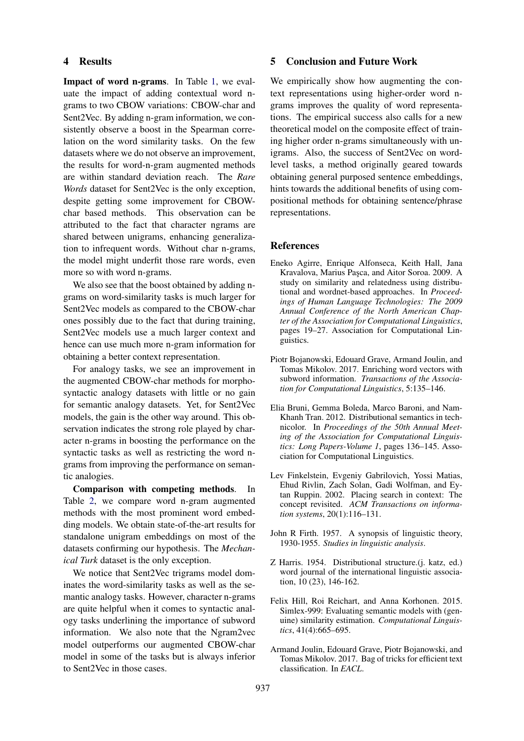### 4 Results

Impact of word n-grams. In Table 1, we evaluate the impact of adding contextual word ngrams to two CBOW variations: CBOW-char and Sent2Vec. By adding n-gram information, we consistently observe a boost in the Spearman correlation on the word similarity tasks. On the few datasets where we do not observe an improvement, the results for word-n-gram augmented methods are within standard deviation reach. The *Rare Words* dataset for Sent2Vec is the only exception, despite getting some improvement for CBOWchar based methods. This observation can be attributed to the fact that character ngrams are shared between unigrams, enhancing generalization to infrequent words. Without char n-grams, the model might underfit those rare words, even more so with word n-grams.

We also see that the boost obtained by adding ngrams on word-similarity tasks is much larger for Sent2Vec models as compared to the CBOW-char ones possibly due to the fact that during training, Sent2Vec models use a much larger context and hence can use much more n-gram information for obtaining a better context representation.

For analogy tasks, we see an improvement in the augmented CBOW-char methods for morphosyntactic analogy datasets with little or no gain for semantic analogy datasets. Yet, for Sent2Vec models, the gain is the other way around. This observation indicates the strong role played by character n-grams in boosting the performance on the syntactic tasks as well as restricting the word ngrams from improving the performance on semantic analogies.

Comparison with competing methods. In Table 2, we compare word n-gram augmented methods with the most prominent word embedding models. We obtain state-of-the-art results for standalone unigram embeddings on most of the datasets confirming our hypothesis. The *Mechanical Turk* dataset is the only exception.

We notice that Sent2Vec trigrams model dominates the word-similarity tasks as well as the semantic analogy tasks. However, character n-grams are quite helpful when it comes to syntactic analogy tasks underlining the importance of subword information. We also note that the Ngram2vec model outperforms our augmented CBOW-char model in some of the tasks but is always inferior to Sent2Vec in those cases.

#### 5 Conclusion and Future Work

We empirically show how augmenting the context representations using higher-order word ngrams improves the quality of word representations. The empirical success also calls for a new theoretical model on the composite effect of training higher order n-grams simultaneously with unigrams. Also, the success of Sent2Vec on wordlevel tasks, a method originally geared towards obtaining general purposed sentence embeddings, hints towards the additional benefits of using compositional methods for obtaining sentence/phrase representations.

#### References

- Eneko Agirre, Enrique Alfonseca, Keith Hall, Jana Kravalova, Marius Paşca, and Aitor Soroa. 2009. A study on similarity and relatedness using distributional and wordnet-based approaches. In *Proceedings of Human Language Technologies: The 2009 Annual Conference of the North American Chapter of the Association for Computational Linguistics*, pages 19–27. Association for Computational Linguistics.
- Piotr Bojanowski, Edouard Grave, Armand Joulin, and Tomas Mikolov. 2017. Enriching word vectors with subword information. *Transactions of the Association for Computational Linguistics*, 5:135–146.
- Elia Bruni, Gemma Boleda, Marco Baroni, and Nam-Khanh Tran. 2012. Distributional semantics in technicolor. In *Proceedings of the 50th Annual Meeting of the Association for Computational Linguistics: Long Papers-Volume 1*, pages 136–145. Association for Computational Linguistics.
- Lev Finkelstein, Evgeniy Gabrilovich, Yossi Matias, Ehud Rivlin, Zach Solan, Gadi Wolfman, and Eytan Ruppin. 2002. Placing search in context: The concept revisited. *ACM Transactions on information systems*, 20(1):116–131.
- John R Firth. 1957. A synopsis of linguistic theory, 1930-1955. *Studies in linguistic analysis*.
- Z Harris. 1954. Distributional structure.(j. katz, ed.) word journal of the international linguistic association, 10 (23), 146-162.
- Felix Hill, Roi Reichart, and Anna Korhonen. 2015. Simlex-999: Evaluating semantic models with (genuine) similarity estimation. *Computational Linguistics*, 41(4):665–695.
- Armand Joulin, Edouard Grave, Piotr Bojanowski, and Tomas Mikolov. 2017. Bag of tricks for efficient text classification. In *EACL*.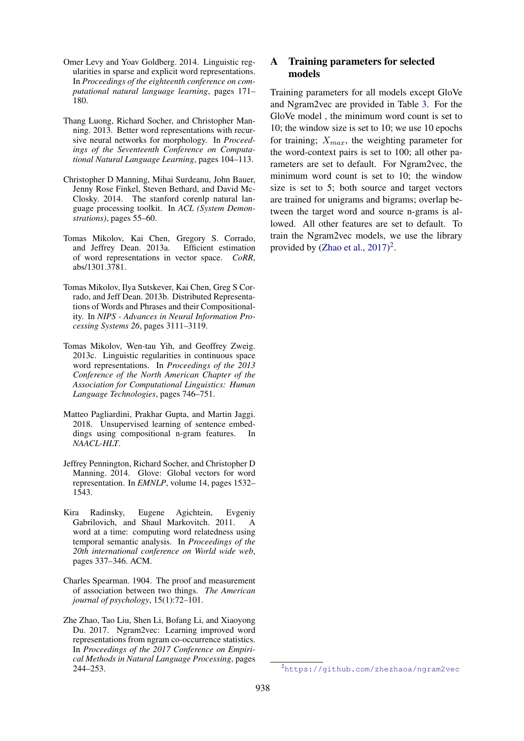- Omer Levy and Yoav Goldberg. 2014. Linguistic regularities in sparse and explicit word representations. In *Proceedings of the eighteenth conference on computational natural language learning*, pages 171– 180.
- Thang Luong, Richard Socher, and Christopher Manning. 2013. Better word representations with recursive neural networks for morphology. In *Proceedings of the Seventeenth Conference on Computational Natural Language Learning*, pages 104–113.
- Christopher D Manning, Mihai Surdeanu, John Bauer, Jenny Rose Finkel, Steven Bethard, and David Mc-Closky. 2014. The stanford corenlp natural language processing toolkit. In *ACL (System Demonstrations)*, pages 55–60.
- Tomas Mikolov, Kai Chen, Gregory S. Corrado, and Jeffrey Dean. 2013a. Efficient estimation of word representations in vector space. *CoRR*, abs/1301.3781.
- Tomas Mikolov, Ilya Sutskever, Kai Chen, Greg S Corrado, and Jeff Dean. 2013b. Distributed Representations of Words and Phrases and their Compositionality. In *NIPS - Advances in Neural Information Processing Systems 26*, pages 3111–3119.
- Tomas Mikolov, Wen-tau Yih, and Geoffrey Zweig. 2013c. Linguistic regularities in continuous space word representations. In *Proceedings of the 2013 Conference of the North American Chapter of the Association for Computational Linguistics: Human Language Technologies*, pages 746–751.
- Matteo Pagliardini, Prakhar Gupta, and Martin Jaggi. 2018. Unsupervised learning of sentence embeddings using compositional n-gram features. In *NAACL-HLT*.
- Jeffrey Pennington, Richard Socher, and Christopher D Manning. 2014. Glove: Global vectors for word representation. In *EMNLP*, volume 14, pages 1532– 1543.
- Kira Radinsky, Eugene Agichtein, Evgeniy Gabrilovich, and Shaul Markovitch. 2011. A word at a time: computing word relatedness using temporal semantic analysis. In *Proceedings of the 20th international conference on World wide web*, pages 337–346. ACM.
- Charles Spearman. 1904. The proof and measurement of association between two things. *The American journal of psychology*, 15(1):72–101.
- Zhe Zhao, Tao Liu, Shen Li, Bofang Li, and Xiaoyong Du. 2017. Ngram2vec: Learning improved word representations from ngram co-occurrence statistics. In *Proceedings of the 2017 Conference on Empirical Methods in Natural Language Processing*, pages 244–253.

## A Training parameters for selected models

Training parameters for all models except GloVe and Ngram2vec are provided in Table 3. For the GloVe model , the minimum word count is set to 10; the window size is set to 10; we use 10 epochs for training;  $X_{max}$ , the weighting parameter for the word-context pairs is set to 100; all other parameters are set to default. For Ngram2vec, the minimum word count is set to 10; the window size is set to 5; both source and target vectors are trained for unigrams and bigrams; overlap between the target word and source n-grams is allowed. All other features are set to default. To train the Ngram2vec models, we use the library provided by (Zhao et al.,  $2017$ )<sup>2</sup>.

<sup>2</sup>https://github.com/zhezhaoa/ngram2vec